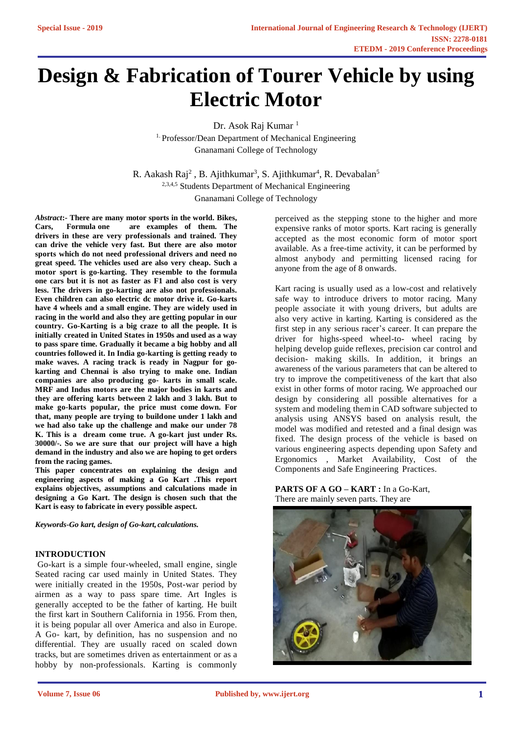# **Design & Fabrication of Tourer Vehicle by using Electric Motor**

Dr. Asok Raj Kumar<sup>1</sup> 1. Professor/Dean Department of Mechanical Engineering Gnanamani College of Technology

R. Aakash Raj<sup>2</sup>, B. Ajithkumar<sup>3</sup>, S. Ajithkumar<sup>4</sup>, R. Devabalan<sup>5</sup> 2,3,4,5 Students Department of Mechanical Engineering Gnanamani College of Technology

*Abstract***:- There are many motor sports in the world. Bikes, Cars, Formula one are examples of them. The drivers in these are very professionals and trained. They can drive the vehicle very fast. But there are also motor sports which do not need professional drivers and need no great speed. The vehicles used are also very cheap. Such a motor sport is go-karting. They resemble to the formula one cars but it is not as faster as F1 and also cost is very less. The drivers in go-karting are also not professionals. Even children can also electric dc motor drive it. Go-karts have 4 wheels and a small engine. They are widely used in racing in the world and also they are getting popular in our country. Go-Karting is a big craze to all the people. It is initially created in United States in 1950s and used as a way to pass spare time. Gradually it became a big hobby and all countries followed it. In India go-karting is getting ready to make waves. A racing track is ready in Nagpur for gokarting and Chennai is also trying to make one. Indian companies are also producing go- karts in small scale. MRF and Indus motors are the major bodies in karts and they are offering karts between 2 lakh and 3 lakh. But to make go-karts popular, the price must come down. For that, many people are trying to buildone under 1 lakh and we had also take up the challenge and make our under 78 K. This is a dream come true. A go-kart just under Rs. 30000/-. So we are sure that our project will have a high demand in the industry and also we are hoping to get orders from the racing games.**

**This paper concentrates on explaining the design and engineering aspects of making a Go Kart .This report explains objectives, assumptions and calculations made in designing a Go Kart. The design is chosen such that the Kart is easy to fabricate in every possible aspect.**

*Keywords-Go kart, design of Go-kart, calculations.*

# **INTRODUCTION**

Go-kart is a simple four-wheeled, small engine, single Seated racing car used mainly in United States. They were initially created in the 1950s, Post-war period by airmen as a way to pass spare time. Art Ingles is generally accepted to be the father of karting. He built the first kart in Southern California in 1956. From then, it is being popular all over America and also in Europe. A Go- kart, by definition, has no suspension and no differential. They are usually raced on scaled down tracks, but are sometimes driven as entertainment or as a hobby by non-professionals. Karting is commonly

perceived as the stepping stone to the higher and more expensive ranks of motor sports. Kart racing is generally accepted as the most economic form of motor sport available. As a free-time activity, it can be performed by almost anybody and permitting licensed racing for anyone from the age of 8 onwards.

Kart racing is usually used as a low-cost and relatively safe way to introduce drivers to motor racing. Many people associate it with young drivers, but adults are also very active in karting. Karting is considered as the first step in any serious racer's career. It can prepare the driver for highs-speed wheel-to- wheel racing by helping develop guide reflexes, precision car control and decision- making skills. In addition, it brings an awareness of the various parameters that can be altered to try to improve the competitiveness of the kart that also exist in other forms of motor racing. We approached our design by considering all possible alternatives for a system and modeling them in CAD software subjected to analysis using ANSYS based on analysis result, the model was modified and retested and a final design was fixed. The design process of the vehicle is based on various engineering aspects depending upon Safety and Ergonomics , Market Availability, Cost of the Components and Safe Engineering Practices.

**PARTS OF A GO – KART :** In a Go-Kart, There are mainly seven parts. They are

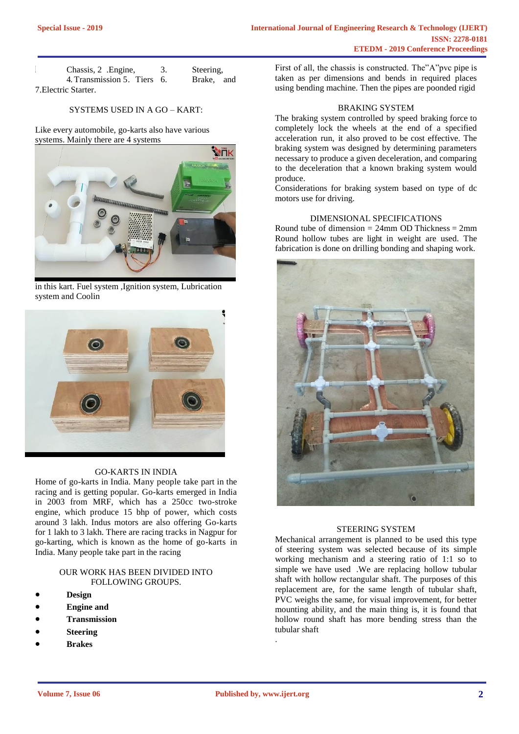| Chassis, 2 .Engine,         | Steering.  |
|-----------------------------|------------|
| 4. Transmission 5. Tiers 6. | Brake, and |
| 7. Electric Starter.        |            |

### SYSTEMS USED IN A GO – KART:

Like every automobile, go-karts also have various systems. Mainly there are 4 systems



in this kart. Fuel system ,Ignition system, Lubrication system and Coolin



#### GO-KARTS IN INDIA

Home of go-karts in India. Many people take part in the racing and is getting popular. Go-karts emerged in India in 2003 from MRF, which has a 250cc two-stroke engine, which produce 15 bhp of power, which costs around 3 lakh. Indus motors are also offering Go-karts for 1 lakh to 3 lakh. There are racing tracks in Nagpur for go-karting, which is known as the home of go-karts in India. Many people take part in the racing

## OUR WORK HAS BEEN DIVIDED INTO FOLLOWING GROUPS.

- **Design**
- **Engine and**
- **Transmission**
- **Steering**
- **Brakes**

First of all, the chassis is constructed. The"A"pvc pipe is taken as per dimensions and bends in required places using bending machine. Then the pipes are poonded rigid

#### BRAKING SYSTEM

The braking system controlled by speed braking force to completely lock the wheels at the end of a specified acceleration run, it also proved to be cost effective. The braking system was designed by determining parameters necessary to produce a given deceleration, and comparing to the deceleration that a known braking system would produce.

Considerations for braking system based on type of dc motors use for driving.

# DIMENSIONAL SPECIFICATIONS

Round tube of dimension  $= 24$ mm OD Thickness  $= 2$ mm Round hollow tubes are light in weight are used. The fabrication is done on drilling bonding and shaping work.



## STEERING SYSTEM

Mechanical arrangement is planned to be used this type of steering system was selected because of its simple working mechanism and a steering ratio of 1:1 so to simple we have used .We are replacing hollow tubular shaft with hollow rectangular shaft. The purposes of this replacement are, for the same length of tubular shaft, PVC weighs the same, for visual improvement, for better mounting ability, and the main thing is, it is found that hollow round shaft has more bending stress than the tubular shaft

.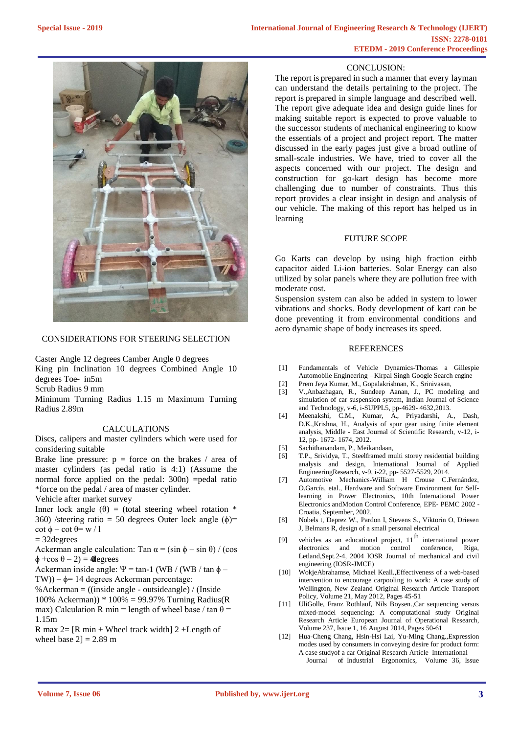# CONCLUSION:

The report is prepared in such a manner that every layman can understand the details pertaining to the project. The report is prepared in simple language and described well. The report give adequate idea and design guide lines for making suitable report is expected to prove valuable to the successor students of mechanical engineering to know the essentials of a project and project report. The matter discussed in the early pages just give a broad outline of small-scale industries. We have, tried to cover all the aspects concerned with our project. The design and construction for go-kart design has become more challenging due to number of constraints. Thus this report provides a clear insight in design and analysis of our vehicle. The making of this report has helped us in learning

## FUTURE SCOPE

Go Karts can develop by using high fraction eithb capacitor aided Li-ion batteries. Solar Energy can also utilized by solar panels where they are pollution free with moderate cost.

Suspension system can also be added in system to lower vibrations and shocks. Body development of kart can be done preventing it from environmental conditions and aero dynamic shape of body increases its speed.

#### **REFERENCES**

- [1] Fundamentals of Vehicle Dynamics-Thomas a Gillespie Automobile Engineering –Kirpal Singh Google Search engine
- [2] Prem Jeya Kumar, M., Gopalakrishnan, K., Srinivasan,
- [3] V.,Anbazhagan, R., Sundeep Aanan, J., PC modeling and simulation of car suspension system, Indian Journal of Science and Technology, v-6, i-SUPPL5, pp-4629- 4632,2013.
- [4] Meenakshi, C.M., Kumar, A., Priyadarshi, A., Dash, D.K.,Krishna, H., Analysis of spur gear using finite element analysis, Middle - East Journal of Scientific Research, v-12, i-12, pp- 1672- 1674, 2012.
- [5] Sachithanandam, P., Meikandaan,
- [6] T.P., Srividya, T., Steelframed multi storey residential building analysis and design, International Journal of Applied EngineeringResearch, v-9, i-22, pp- 5527-5529, 2014.
- [7] Automotive Mechanics-William H Crouse C.Fernández, O.García, etal., Hardware and Software Environment for Selflearning in Power Electronics, 10th International Power Electronics andMotion Control Conference, EPE- PEMC 2002 - Croatia, September, 2002.
- [8] Nobels t, Deprez W., Pardon I, Stevens S., Viktorin O, Driesen J, Belmans R, design of a small personal electrical
- [9] vehicles as an educational project,  $11<sup>th</sup>$  international power electronics and motion control conference, Riga, Letland,Sept.2-4, 2004 IOSR Journal of mechanical and civil engineering (IOSR-JMCE)
- [10] WokjeAbrahamse, Michael Ke[all.,Effectiveness of a web-based](http://www.sciencedirect.com/science/article/pii/S0967070X12000066) [intervention to encourage carpooling](http://www.sciencedirect.com/science/article/pii/S0967070X12000066) [to work: A case study of](http://www.sciencedirect.com/science/article/pii/S0967070X12000066)  [Wellington,](http://www.sciencedirect.com/science/article/pii/S0967070X12000066) [New Zealand O](http://www.sciencedirect.com/science/article/pii/S0967070X12000066)riginal Research Article Transport Policy, Volume 21, May 2012, Pages 45-51
- [11] UliGolle, Franz Rothlauf, Nils Boys[en.,Car sequencing versus](http://www.sciencedirect.com/science/article/pii/S0377221714000149) [mixed-model sequencing: A](http://www.sciencedirect.com/science/article/pii/S0377221714000149) [computational study O](http://www.sciencedirect.com/science/article/pii/S0377221714000149)riginal Research Article European Journal of Operational Research, Volume 237, Issue 1, 16 August 2014, Pages 50-61
- [12] Hua-Cheng Chang, Hsin-Hsi Lai, Yu-Ming Chang, Expression [modes](http://www.sciencedirect.com/science/article/pii/S0169814105001046) [used by consumers in conveying](http://www.sciencedirect.com/science/article/pii/S0169814105001046) [desire for product form:](http://www.sciencedirect.com/science/article/pii/S0169814105001046)  [A case](http://www.sciencedirect.com/science/article/pii/S0169814105001046) [studyof a car](http://www.sciencedirect.com/science/article/pii/S0169814105001046) Original Research Article International Journal of Industrial Ergonomics, Volume 36, Issue



# CONSIDERATIONS FOR STEERING SELECTION

Caster Angle 12 degrees Camber Angle 0 degrees

King pin Inclination 10 degrees Combined Angle 10 degrees Toe- in5m

Scrub Radius 9 mm

Minimum Turning Radius 1.15 m Maximum Turning Radius 2.89m

# CALCULATIONS

Discs, calipers and master cylinders which were used for considering suitable

Brake line pressure:  $p =$  force on the brakes / area of master cylinders (as pedal ratio is 4:1) (Assume the normal force applied on the pedal: 300n) =pedal ratio \*force on the pedal / area of master cylinder.

Vehicle after market survey

Inner lock angle  $(\theta)$  = (total steering wheel rotation \* 360) /steering ratio = 50 degrees Outer lock angle  $(\phi)$ =  $\cot \phi - \cot \theta = \frac{1}{2}w / 1$ 

= 32degrees

Ackerman angle calculation: Tan  $\alpha = (\sin \phi - \sin \theta) / (\cos \phi)$  $\phi$  +cos  $\theta$  – 2) = 40 degrees

Ackerman inside angle:  $\Psi$  = tan-1 (WB / (WB / tan  $\phi$  – TW)) –  $\phi$ = 14 degrees Ackerman percentage:

%Ackerman  $=$  ((inside angle - outsideangle) / (Inside 100% Ackerman)) \* 100% = 99.97% Turning Radius(R max) Calculation R min = length of wheel base / tan  $\theta$  = 1.15m

R max  $2 = [R \text{ min} + \text{Wheel track width}] 2 + \text{Length of}$ wheel base  $2$ ] = 2.89 m